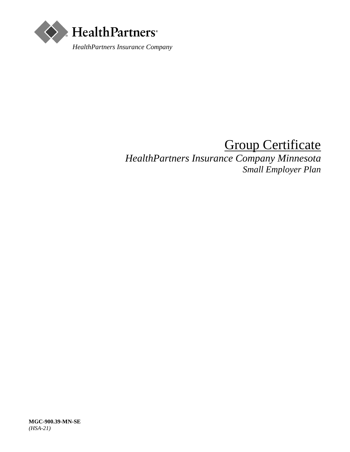

# Group Certificate

*HealthPartners Insurance Company Minnesota Small Employer Plan*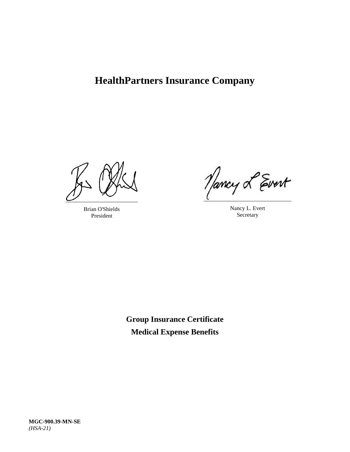# **HealthPartners Insurance Company**

Brian O'Shields President

Nancy L Evert

Nancy L. Evert **Secretary** 

**Group Insurance Certificate Medical Expense Benefits**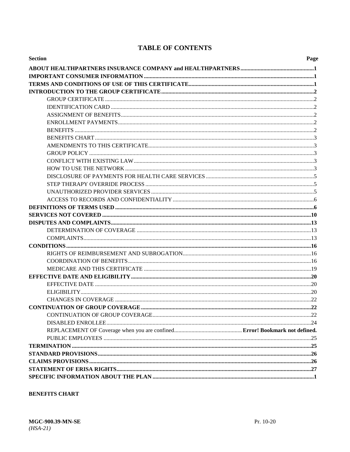# **TABLE OF CONTENTS**

| <b>Section</b> | Page |
|----------------|------|
|                |      |
|                |      |
|                |      |
|                |      |
|                |      |
|                |      |
|                |      |
|                |      |
|                |      |
|                |      |
|                |      |
|                |      |
|                |      |
|                |      |
|                |      |
|                |      |
|                |      |
|                |      |
|                |      |
|                |      |
|                |      |
|                |      |
|                |      |
|                |      |
|                |      |
|                |      |
|                |      |
|                |      |
|                |      |
|                |      |
|                |      |
|                |      |
|                |      |
|                |      |
|                |      |
|                |      |
|                |      |
|                |      |
|                |      |
|                |      |
|                |      |

# **BENEFITS CHART**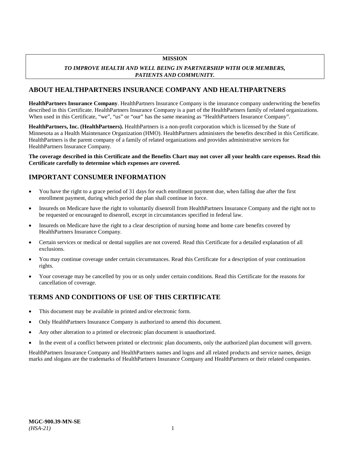# **MISSION**

# *TO IMPROVE HEALTH AND WELL BEING IN PARTNERSHIP WITH OUR MEMBERS, PATIENTS AND COMMUNITY.*

# <span id="page-6-0"></span>**ABOUT HEALTHPARTNERS INSURANCE COMPANY AND HEALTHPARTNERS**

**HealthPartners Insurance Company**. HealthPartners Insurance Company is the insurance company underwriting the benefits described in this Certificate. HealthPartners Insurance Company is a part of the HealthPartners family of related organizations. When used in this Certificate, "we", "us" or "our" has the same meaning as "HealthPartners Insurance Company".

**HealthPartners, Inc. (HealthPartners).** HealthPartners is a non-profit corporation which is licensed by the State of Minnesota as a Health Maintenance Organization (HMO). HealthPartners administers the benefits described in this Certificate. HealthPartners is the parent company of a family of related organizations and provides administrative services for HealthPartners Insurance Company.

**The coverage described in this Certificate and the Benefits Chart may not cover all your health care expenses. Read this Certificate carefully to determine which expenses are covered.**

# <span id="page-6-1"></span>**IMPORTANT CONSUMER INFORMATION**

- You have the right to a grace period of 31 days for each enrollment payment due, when falling due after the first enrollment payment, during which period the plan shall continue in force.
- Insureds on Medicare have the right to voluntarily disenroll from HealthPartners Insurance Company and the right not to be requested or encouraged to disenroll, except in circumstances specified in federal law.
- Insureds on Medicare have the right to a clear description of nursing home and home care benefits covered by HealthPartners Insurance Company.
- Certain services or medical or dental supplies are not covered. Read this Certificate for a detailed explanation of all exclusions.
- You may continue coverage under certain circumstances. Read this Certificate for a description of your continuation rights.
- Your coverage may be cancelled by you or us only under certain conditions. Read this Certificate for the reasons for cancellation of coverage.

# <span id="page-6-2"></span>**TERMS AND CONDITIONS OF USE OF THIS CERTIFICATE**

- This document may be available in printed and/or electronic form.
- Only HealthPartners Insurance Company is authorized to amend this document.
- Any other alteration to a printed or electronic plan document is unauthorized.
- In the event of a conflict between printed or electronic plan documents, only the authorized plan document will govern.

HealthPartners Insurance Company and HealthPartners names and logos and all related products and service names, design marks and slogans are the trademarks of HealthPartners Insurance Company and HealthPartners or their related companies.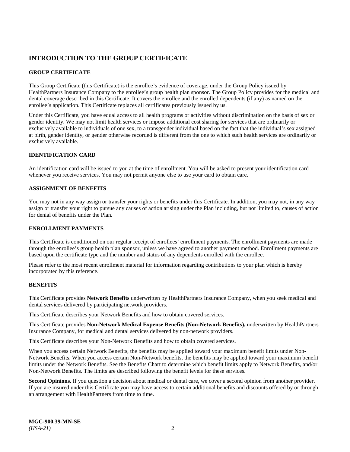# <span id="page-7-0"></span>**INTRODUCTION TO THE GROUP CERTIFICATE**

# <span id="page-7-1"></span>**GROUP CERTIFICATE**

This Group Certificate (this Certificate) is the enrollee's evidence of coverage, under the Group Policy issued by HealthPartners Insurance Company to the enrollee's group health plan sponsor. The Group Policy provides for the medical and dental coverage described in this Certificate. It covers the enrollee and the enrolled dependents (if any) as named on the enrollee's application. This Certificate replaces all certificates previously issued by us.

Under this Certificate, you have equal access to all health programs or activities without discrimination on the basis of sex or gender identity. We may not limit health services or impose additional cost sharing for services that are ordinarily or exclusively available to individuals of one sex, to a transgender individual based on the fact that the individual's sex assigned at birth, gender identity, or gender otherwise recorded is different from the one to which such health services are ordinarily or exclusively available.

# <span id="page-7-2"></span>**IDENTIFICATION CARD**

An identification card will be issued to you at the time of enrollment. You will be asked to present your identification card whenever you receive services. You may not permit anyone else to use your card to obtain care.

# <span id="page-7-3"></span>**ASSIGNMENT OF BENEFITS**

You may not in any way assign or transfer your rights or benefits under this Certificate. In addition, you may not, in any way assign or transfer your right to pursue any causes of action arising under the Plan including, but not limited to, causes of action for denial of benefits under the Plan.

# <span id="page-7-4"></span>**ENROLLMENT PAYMENTS**

This Certificate is conditioned on our regular receipt of enrollees' enrollment payments. The enrollment payments are made through the enrollee's group health plan sponsor, unless we have agreed to another payment method. Enrollment payments are based upon the certificate type and the number and status of any dependents enrolled with the enrollee.

Please refer to the most recent enrollment material for information regarding contributions to your plan which is hereby incorporated by this reference.

# <span id="page-7-5"></span>**BENEFITS**

This Certificate provides **Network Benefits** underwritten by HealthPartners Insurance Company, when you seek medical and dental services delivered by participating network providers.

This Certificate describes your Network Benefits and how to obtain covered services.

This Certificate provides **Non-Network Medical Expense Benefits (Non-Network Benefits),** underwritten by HealthPartners Insurance Company, for medical and dental services delivered by non-network providers.

This Certificate describes your Non-Network Benefits and how to obtain covered services.

When you access certain Network Benefits, the benefits may be applied toward your maximum benefit limits under Non-Network Benefits. When you access certain Non-Network benefits, the benefits may be applied toward your maximum benefit limits under the Network Benefits. See the Benefits Chart to determine which benefit limits apply to Network Benefits, and/or Non-Network Benefits. The limits are described following the benefit levels for these services.

**Second Opinions.** If you question a decision about medical or dental care, we cover a second opinion from another provider. If you are insured under this Certificate you may have access to certain additional benefits and discounts offered by or through an arrangement with HealthPartners from time to time.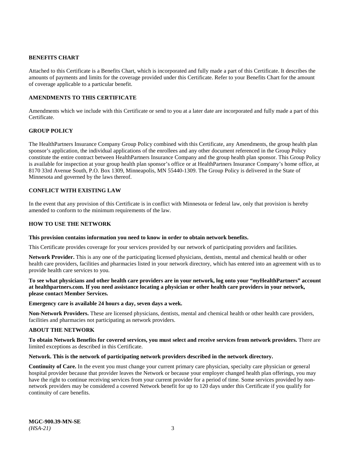# <span id="page-8-0"></span>**BENEFITS CHART**

Attached to this Certificate is a Benefits Chart, which is incorporated and fully made a part of this Certificate. It describes the amounts of payments and limits for the coverage provided under this Certificate. Refer to your Benefits Chart for the amount of coverage applicable to a particular benefit.

# <span id="page-8-1"></span>**AMENDMENTS TO THIS CERTIFICATE**

Amendments which we include with this Certificate or send to you at a later date are incorporated and fully made a part of this Certificate.

# <span id="page-8-2"></span>**GROUP POLICY**

The HealthPartners Insurance Company Group Policy combined with this Certificate, any Amendments, the group health plan sponsor's application, the individual applications of the enrollees and any other document referenced in the Group Policy constitute the entire contract between HealthPartners Insurance Company and the group health plan sponsor. This Group Policy is available for inspection at your group health plan sponsor's office or at HealthPartners Insurance Company's home office, at 8170 33rd Avenue South, P.O. Box 1309, Minneapolis, MN 55440-1309. The Group Policy is delivered in the State of Minnesota and governed by the laws thereof.

# <span id="page-8-3"></span>**CONFLICT WITH EXISTING LAW**

In the event that any provision of this Certificate is in conflict with Minnesota or federal law, only that provision is hereby amended to conform to the minimum requirements of the law.

# <span id="page-8-4"></span>**HOW TO USE THE NETWORK**

# **This provision contains information you need to know in order to obtain network benefits.**

This Certificate provides coverage for your services provided by our network of participating providers and facilities.

**Network Provider.** This is any one of the participating licensed physicians, dentists, mental and chemical health or other health care providers, facilities and pharmacies listed in your network directory, which has entered into an agreement with us to provide health care services to you.

**To see what physicians and other health care providers are in your network, log onto your "***my***HealthPartners" account at [healthpartners.com.](https://www.healthpartners.com/) If you need assistance locating a physician or other health care providers in your network, please contact Member Services.**

#### **Emergency care is available 24 hours a day, seven days a week.**

**Non-Network Providers.** These are licensed physicians, dentists, mental and chemical health or other health care providers, facilities and pharmacies not participating as network providers.

# **ABOUT THE NETWORK**

#### **To obtain Network Benefits for covered services, you must select and receive services from network providers.** There are limited exceptions as described in this Certificate.

# **Network. This is the network of participating network providers described in the network directory.**

**Continuity of Care.** In the event you must change your current primary care physician, specialty care physician or general hospital provider because that provider leaves the Network or because your employer changed health plan offerings, you may have the right to continue receiving services from your current provider for a period of time. Some services provided by nonnetwork providers may be considered a covered Network benefit for up to 120 days under this Certificate if you qualify for continuity of care benefits.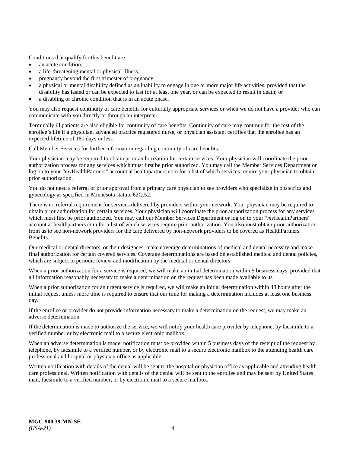Conditions that qualify for this benefit are:

- an acute condition:
- a life-threatening mental or physical illness;
- pregnancy beyond the first trimester of pregnancy;
- a physical or mental disability defined as an inability to engage in one or more major life activities, provided that the disability has lasted or can be expected to last for at least one year, or can be expected to result in death; or
- a disabling or chronic condition that is in an acute phase.

You may also request continuity of care benefits for culturally appropriate services or when we do not have a provider who can communicate with you directly or through an interpreter.

Terminally ill patients are also eligible for continuity of care benefits. Continuity of care may continue for the rest of the enrollee's life if a physician, advanced practice registered nurse, or physician assistant certifies that the enrollee has an expected lifetime of 180 days or less.

Call Member Services for further information regarding continuity of care benefits.

Your physician may be required to obtain prior authorization for certain services. Your physician will coordinate the prior authorization process for any services which must first be prior authorized. You may call the Member Services Department or log on to your "*my*HealthPartners" account at [healthpartners.com](https://www.healthpartners.com/hp/index.html) for a list of which services require your physician to obtain prior authorization.

You do not need a referral or prior approval from a primary care physician to see providers who specialize in obstetrics and gynecology as specified in Minnesota statute 62Q.52.

There is no referral requirement for services delivered by providers within your network. Your physician may be required to obtain prior authorization for certain services. Your physician will coordinate the prior authorization process for any services which must first be prior authorized. You may call our Member Services Department or log on to your "*my*HealthPartners" account a[t healthpartners.com](https://www.healthpartners.com/hp/index.html) for a list of which services require prior authorization. You also must obtain prior authorization from us to see non-network providers for the care delivered by non-network providers to be covered as HealthPartners Benefits.

Our medical or dental directors, or their designees, make coverage determinations of medical and dental necessity and make final authorization for certain covered services. Coverage determinations are based on established medical and dental policies, which are subject to periodic review and modification by the medical or dental directors.

When a prior authorization for a service is required, we will make an initial determination within 5 business days, provided that all information reasonably necessary to make a determination on the request has been made available to us.

When a prior authorization for an urgent service is required, we will make an initial determination within 48 hours after the initial request unless more time is required to ensure that our time for making a determination includes at least one business day.

If the enrollee or provider do not provide information necessary to make a determination on the request, we may make an adverse determination.

If the determination is made to authorize the service, we will notify your health care provider by telephone, by facsimile to a verified number or by electronic mail to a secure electronic mailbox.

When an adverse determination is made, notification must be provided within 5 business days of the receipt of the request by telephone, by facsimile to a verified number, or by electronic mail to a secure electronic mailbox to the attending health care professional and hospital or physician office as applicable.

Written notification with details of the denial will be sent to the hospital or physician office as applicable and attending health care professional. Written notification with details of the denial will be sent to the enrollee and may be sent by United States mail, facsimile to a verified number, or by electronic mail to a secure mailbox.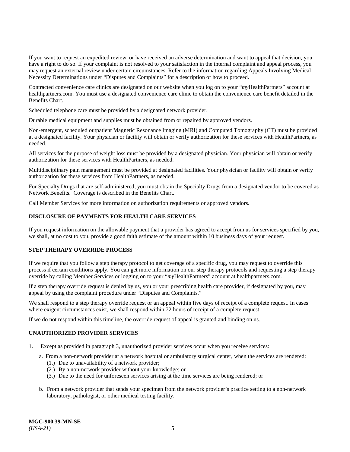If you want to request an expedited review, or have received an adverse determination and want to appeal that decision, you have a right to do so. If your complaint is not resolved to your satisfaction in the internal complaint and appeal process, you may request an external review under certain circumstances. Refer to the information regarding Appeals Involving Medical Necessity Determinations under "Disputes and Complaints" for a description of how to proceed.

Contracted convenience care clinics are designated on our website when you log on to your "*my*HealthPartners" account at [healthpartners.com.](https://www.healthpartners.com/hp/index.html) You must use a designated convenience care clinic to obtain the convenience care benefit detailed in the Benefits Chart.

Scheduled telephone care must be provided by a designated network provider.

Durable medical equipment and supplies must be obtained from or repaired by approved vendors.

Non-emergent, scheduled outpatient Magnetic Resonance Imaging (MRI) and Computed Tomography (CT) must be provided at a designated facility. Your physician or facility will obtain or verify authorization for these services with HealthPartners, as needed.

All services for the purpose of weight loss must be provided by a designated physician. Your physician will obtain or verify authorization for these services with HealthPartners, as needed.

Multidisciplinary pain management must be provided at designated facilities. Your physician or facility will obtain or verify authorization for these services from HealthPartners, as needed.

For Specialty Drugs that are self-administered, you must obtain the Specialty Drugs from a designated vendor to be covered as Network Benefits. Coverage is described in the Benefits Chart.

Call Member Services for more information on authorization requirements or approved vendors.

# <span id="page-10-0"></span>**DISCLOSURE OF PAYMENTS FOR HEALTH CARE SERVICES**

If you request information on the allowable payment that a provider has agreed to accept from us for services specified by you, we shall, at no cost to you, provide a good faith estimate of the amount within 10 business days of your request.

# <span id="page-10-1"></span>**STEP THERAPY OVERRIDE PROCESS**

If we require that you follow a step therapy protocol to get coverage of a specific drug, you may request to override this process if certain conditions apply. You can get more information on our step therapy protocols and requesting a step therapy override by calling Member Services or logging on to your "*my*HealthPartners" account at [healthpartners.com.](https://www.healthpartners.com/hp/index.html)

If a step therapy override request is denied by us, you or your prescribing health care provider, if designated by you, may appeal by using the complaint procedure under "Disputes and Complaints."

We shall respond to a step therapy override request or an appeal within five days of receipt of a complete request. In cases where exigent circumstances exist, we shall respond within 72 hours of receipt of a complete request.

If we do not respond within this timeline, the override request of appeal is granted and binding on us.

# <span id="page-10-2"></span>**UNAUTHORIZED PROVIDER SERVICES**

- 1. Except as provided in paragraph 3, unauthorized provider services occur when you receive services:
	- a. From a non-network provider at a network hospital or ambulatory surgical center, when the services are rendered:
		- (1.) Due to unavailability of a network provider;
		- (2.) By a non-network provider without your knowledge; or
		- (3.) Due to the need for unforeseen services arising at the time services are being rendered; or
	- b. From a network provider that sends your specimen from the network provider's practice setting to a non-network laboratory, pathologist, or other medical testing facility.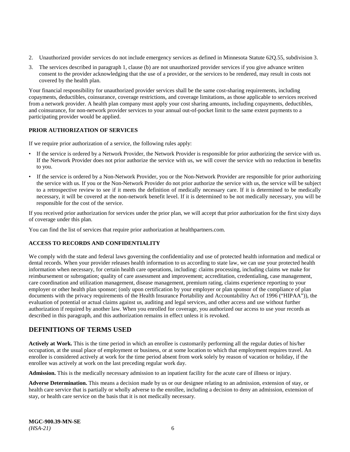- 2. Unauthorized provider services do not include emergency services as defined in Minnesota Statute 62Q.55, subdivision 3.
- 3. The services described in paragraph 1, clause (b) are not unauthorized provider services if you give advance written consent to the provider acknowledging that the use of a provider, or the services to be rendered, may result in costs not covered by the health plan.

Your financial responsibility for unauthorized provider services shall be the same cost-sharing requirements, including copayments, deductibles, coinsurance, coverage restrictions, and coverage limitations, as those applicable to services received from a network provider. A health plan company must apply your cost sharing amounts, including copayments, deductibles, and coinsurance, for non-network provider services to your annual out-of-pocket limit to the same extent payments to a participating provider would be applied.

# **PRIOR AUTHORIZATION OF SERVICES**

If we require prior authorization of a service, the following rules apply:

- If the service is ordered by a Network Provider, the Network Provider is responsible for prior authorizing the service with us. If the Network Provider does not prior authorize the service with us, we will cover the service with no reduction in benefits to you.
- If the service is ordered by a Non-Network Provider, you or the Non-Network Provider are responsible for prior authorizing the service with us. If you or the Non-Network Provider do not prior authorize the service with us, the service will be subject to a retrospective review to see if it meets the definition of medically necessary care. If it is determined to be medically necessary, it will be covered at the non-network benefit level. If it is determined to be not medically necessary, you will be responsible for the cost of the service.

If you received prior authorization for services under the prior plan, we will accept that prior authorization for the first sixty days of coverage under this plan.

You can find the list of services that require prior authorization at [healthpartners.com.](https://www.healthpartners.com/hp/index.html)

# <span id="page-11-0"></span>**ACCESS TO RECORDS AND CONFIDENTIALITY**

We comply with the state and federal laws governing the confidentiality and use of protected health information and medical or dental records. When your provider releases health information to us according to state law, we can use your protected health information when necessary, for certain health care operations, including: claims processing, including claims we make for reimbursement or subrogation; quality of care assessment and improvement; accreditation, credentialing, case management, care coordination and utilization management, disease management, premium rating, claims experience reporting to your employer or other health plan sponsor; (only upon certification by your employer or plan sponsor of the compliance of plan documents with the privacy requirements of the Health Insurance Portability and Accountability Act of 1996 ("HIPAA")), the evaluation of potential or actual claims against us, auditing and legal services, and other access and use without further authorization if required by another law. When you enrolled for coverage, you authorized our access to use your records as described in this paragraph, and this authorization remains in effect unless it is revoked.

# <span id="page-11-1"></span>**DEFINITIONS OF TERMS USED**

**Actively at Work.** This is the time period in which an enrollee is customarily performing all the regular duties of his/her occupation, at the usual place of employment or business, or at some location to which that employment requires travel. An enrollee is considered actively at work for the time period absent from work solely by reason of vacation or holiday, if the enrollee was actively at work on the last preceding regular work day.

**Admission.** This is the medically necessary admission to an inpatient facility for the acute care of illness or injury.

**Adverse Determination.** This means a decision made by us or our designee relating to an admission, extension of stay, or health care service that is partially or wholly adverse to the enrollee, including a decision to deny an admission, extension of stay, or health care service on the basis that it is not medically necessary.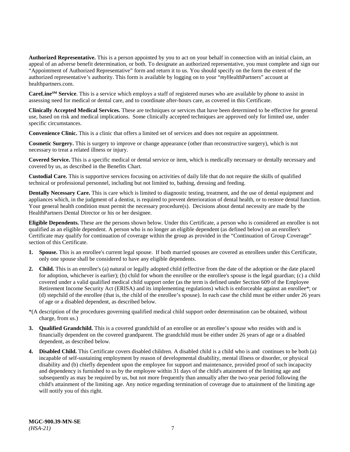**Authorized Representative.** This is a person appointed by you to act on your behalf in connection with an initial claim, an appeal of an adverse benefit determination, or both. To designate an authorized representative, you must complete and sign our "Appointment of Authorized Representative" form and return it to us. You should specify on the form the extent of the authorized representative's authority. This form is available by logging on to your "*my*HealthPartners" account at [healthpartners.com.](http://www.healthpartners.com/)

**CareLineSM Service**. This is a service which employs a staff of registered nurses who are available by phone to assist in assessing need for medical or dental care, and to coordinate after-hours care, as covered in this Certificate.

**Clinically Accepted Medical Services.** These are techniques or services that have been determined to be effective for general use, based on risk and medical implications. Some clinically accepted techniques are approved only for limited use, under specific circumstances.

**Convenience Clinic.** This is a clinic that offers a limited set of services and does not require an appointment.

**Cosmetic Surgery.** This is surgery to improve or change appearance (other than reconstructive surgery), which is not necessary to treat a related illness or injury.

**Covered Service.** This is a specific medical or dental service or item, which is medically necessary or dentally necessary and covered by us, as described in the Benefits Chart.

**Custodial Care.** This is supportive services focusing on activities of daily life that do not require the skills of qualified technical or professional personnel, including but not limited to, bathing, dressing and feeding.

**Dentally Necessary Care.** This is care which is limited to diagnostic testing, treatment, and the use of dental equipment and appliances which, in the judgment of a dentist, is required to prevent deterioration of dental health, or to restore dental function. Your general health condition must permit the necessary procedure(s). Decisions about dental necessity are made by the HealthPartners Dental Director or his or her designee.

**Eligible Dependents.** These are the persons shown below. Under this Certificate, a person who is considered an enrollee is not qualified as an eligible dependent. A person who is no longer an eligible dependent (as defined below) on an enrollee's Certificate may qualify for continuation of coverage within the group as provided in the "Continuation of Group Coverage" section of this Certificate.

- **1. Spouse.** This is an enrollee's current legal spouse. If both married spouses are covered as enrollees under this Certificate, only one spouse shall be considered to have any eligible dependents.
- **2. Child.** This is an enrollee's (a) natural or legally adopted child (effective from the date of the adoption or the date placed for adoption, whichever is earlier); (b) child for whom the enrollee or the enrollee's spouse is the legal guardian; (c) a child covered under a valid qualified medical child support order (as the term is defined under Section 609 of the Employee Retirement Income Security Act (ERISA) and its implementing regulations) which is enforceable against an enrollee\*; or (d) stepchild of the enrollee (that is, the child of the enrollee's spouse). In each case the child must be either under 26 years of age or a disabled dependent, as described below.
- \*(A description of the procedures governing qualified medical child support order determination can be obtained, without charge, from us.)
- **3. Qualified Grandchild.** This is a covered grandchild of an enrollee or an enrollee's spouse who resides with and is financially dependent on the covered grandparent. The grandchild must be either under 26 years of age or a disabled dependent, as described below.
- **4. Disabled Child.** This Certificate covers disabled children. A disabled child is a child who is and continues to be both (a) incapable of self-sustaining employment by reason of developmental disability, mental illness or disorder, or physical disability and (b) chiefly dependent upon the employee for support and maintenance, provided proof of such incapacity and dependency is furnished to us by the employee within 31 days of the child's attainment of the limiting age and subsequently as may be required by us, but not more frequently than annually after the two-year period following the child's attainment of the limiting age. Any notice regarding termination of coverage due to attainment of the limiting age will notify you of this right.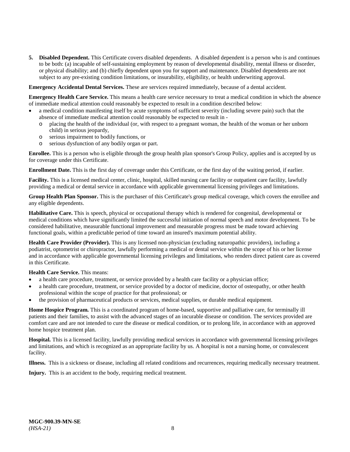**5. Disabled Dependent.** This Certificate covers disabled dependents. A disabled dependent is a person who is and continues to be both: (a) incapable of self-sustaining employment by reason of developmental disability, mental illness or disorder, or physical disability; and (b) chiefly dependent upon you for support and maintenance. Disabled dependents are not subject to any pre-existing condition limitations, or insurability, eligibility, or health underwriting approval.

**Emergency Accidental Dental Services.** These are services required immediately, because of a dental accident.

**Emergency Health Care Service.** This means a health care service necessary to treat a medical condition in which the absence of immediate medical attention could reasonably be expected to result in a condition described below:

- a medical condition manifesting itself by acute symptoms of sufficient severity (including severe pain) such that the absence of immediate medical attention could reasonably be expected to result in
	- o placing the health of the individual (or, with respect to a pregnant woman, the health of the woman or her unborn child) in serious jeopardy,
	- o serious impairment to bodily functions, or
	- o serious dysfunction of any bodily organ or part.

**Enrollee.** This is a person who is eligible through the group health plan sponsor's Group Policy, applies and is accepted by us for coverage under this Certificate.

**Enrollment Date.** This is the first day of coverage under this Certificate, or the first day of the waiting period, if earlier.

**Facility.** This is a licensed medical center, clinic, hospital, skilled nursing care facility or outpatient care facility, lawfully providing a medical or dental service in accordance with applicable governmental licensing privileges and limitations.

**Group Health Plan Sponsor.** This is the purchaser of this Certificate's group medical coverage, which covers the enrollee and any eligible dependents.

**Habilitative Care.** This is speech, physical or occupational therapy which is rendered for congenital, developmental or medical conditions which have significantly limited the successful initiation of normal speech and motor development. To be considered habilitative, measurable functional improvement and measurable progress must be made toward achieving functional goals, within a predictable period of time toward an insured's maximum potential ability.

**Health Care Provider (Provider).** This is any licensed non-physician (excluding naturopathic providers), including a podiatrist, optometrist or chiropractor, lawfully performing a medical or dental service within the scope of his or her license and in accordance with applicable governmental licensing privileges and limitations, who renders direct patient care as covered in this Certificate.

**Health Care Service.** This means:

- a health care procedure, treatment, or service provided by a health care facility or a physician office;
- a health care procedure, treatment, or service provided by a doctor of medicine, doctor of osteopathy, or other health professional within the scope of practice for that professional; or
- the provision of pharmaceutical products or services, medical supplies, or durable medical equipment.

**Home Hospice Program.** This is a coordinated program of home-based, supportive and palliative care, for terminally ill patients and their families, to assist with the advanced stages of an incurable disease or condition. The services provided are comfort care and are not intended to cure the disease or medical condition, or to prolong life, in accordance with an approved home hospice treatment plan.

**Hospital.** This is a licensed facility, lawfully providing medical services in accordance with governmental licensing privileges and limitations, and which is recognized as an appropriate facility by us. A hospital is not a nursing home, or convalescent facility.

**Illness.** This is a sickness or disease, including all related conditions and recurrences, requiring medically necessary treatment.

**Injury.** This is an accident to the body, requiring medical treatment.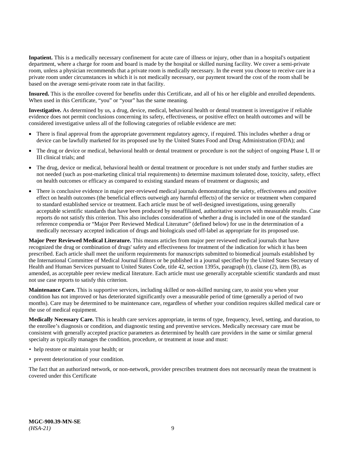**Inpatient.** This is a medically necessary confinement for acute care of illness or injury, other than in a hospital's outpatient department, where a charge for room and board is made by the hospital or skilled nursing facility. We cover a semi-private room, unless a physician recommends that a private room is medically necessary. In the event you choose to receive care in a private room under circumstances in which it is not medically necessary, our payment toward the cost of the room shall be based on the average semi-private room rate in that facility.

**Insured.** This is the enrollee covered for benefits under this Certificate, and all of his or her eligible and enrolled dependents. When used in this Certificate, "you" or "your" has the same meaning.

**Investigative.** As determined by us, a drug, device, medical, behavioral health or dental treatment is investigative if reliable evidence does not permit conclusions concerning its safety, effectiveness, or positive effect on health outcomes and will be considered investigative unless all of the following categories of reliable evidence are met:

- There is final approval from the appropriate government regulatory agency, if required. This includes whether a drug or device can be lawfully marketed for its proposed use by the United States Food and Drug Administration (FDA); and
- The drug or device or medical, behavioral health or dental treatment or procedure is not the subject of ongoing Phase I, II or III clinical trials; and
- The drug, device or medical, behavioral health or dental treatment or procedure is not under study and further studies are not needed (such as post-marketing clinical trial requirements) to determine maximum tolerated dose, toxicity, safety, effect on health outcomes or efficacy as compared to existing standard means of treatment or diagnosis; and
- There is conclusive evidence in major peer-reviewed medical journals demonstrating the safety, effectiveness and positive effect on health outcomes (the beneficial effects outweigh any harmful effects) of the service or treatment when compared to standard established service or treatment. Each article must be of well-designed investigations, using generally acceptable scientific standards that have been produced by nonaffiliated, authoritative sources with measurable results. Case reports do not satisfy this criterion. This also includes consideration of whether a drug is included in one of the standard reference compendia or "Major Peer Reviewed Medical Literature" (defined below) for use in the determination of a medically necessary accepted indication of drugs and biologicals used off-label as appropriate for its proposed use.

**Major Peer Reviewed Medical Literature.** This means articles from major peer reviewed medical journals that have recognized the drug or combination of drugs' safety and effectiveness for treatment of the indication for which it has been prescribed. Each article shall meet the uniform requirements for manuscripts submitted to biomedical journals established by the International Committee of Medical Journal Editors or be published in a journal specified by the United States Secretary of Health and Human Services pursuant to United States Code, title 42, section 1395x, paragraph (t), clause (2), item (B), as amended, as acceptable peer review medical literature. Each article must use generally acceptable scientific standards and must not use case reports to satisfy this criterion.

**Maintenance Care.** This is supportive services, including skilled or non-skilled nursing care, to assist you when your condition has not improved or has deteriorated significantly over a measurable period of time (generally a period of two months). Care may be determined to be maintenance care, regardless of whether your condition requires skilled medical care or the use of medical equipment.

**Medically Necessary Care.** This is health care services appropriate, in terms of type, frequency, level, setting, and duration, to the enrollee's diagnosis or condition, and diagnostic testing and preventive services. Medically necessary care must be consistent with generally accepted practice parameters as determined by health care providers in the same or similar general specialty as typically manages the condition, procedure, or treatment at issue and must:

- help restore or maintain your health; or
- prevent deterioration of your condition.

The fact that an authorized network, or non-network, provider prescribes treatment does not necessarily mean the treatment is covered under this Certificate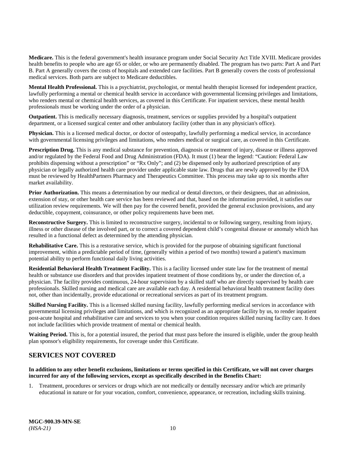**Medicare.** This is the federal government's health insurance program under Social Security Act Title XVIII. Medicare provides health benefits to people who are age 65 or older, or who are permanently disabled. The program has two parts: Part A and Part B. Part A generally covers the costs of hospitals and extended care facilities. Part B generally covers the costs of professional medical services. Both parts are subject to Medicare deductibles.

**Mental Health Professional.** This is a psychiatrist, psychologist, or mental health therapist licensed for independent practice, lawfully performing a mental or chemical health service in accordance with governmental licensing privileges and limitations, who renders mental or chemical health services, as covered in this Certificate. For inpatient services, these mental health professionals must be working under the order of a physician.

**Outpatient.** This is medically necessary diagnosis, treatment, services or supplies provided by a hospital's outpatient department, or a licensed surgical center and other ambulatory facility (other than in any physician's office).

**Physician.** This is a licensed medical doctor, or doctor of osteopathy, lawfully performing a medical service, in accordance with governmental licensing privileges and limitations, who renders medical or surgical care, as covered in this Certificate.

**Prescription Drug.** This is any medical substance for prevention, diagnosis or treatment of injury, disease or illness approved and/or regulated by the Federal Food and Drug Administration (FDA). It must (1) bear the legend: "Caution: Federal Law prohibits dispensing without a prescription" or "Rx Only"; and (2) be dispensed only by authorized prescription of any physician or legally authorized health care provider under applicable state law. Drugs that are newly approved by the FDA must be reviewed by HealthPartners Pharmacy and Therapeutics Committee. This process may take up to six months after market availability.

**Prior Authorization.** This means a determination by our medical or dental directors, or their designees, that an admission, extension of stay, or other health care service has been reviewed and that, based on the information provided, it satisfies our utilization review requirements. We will then pay for the covered benefit, provided the general exclusion provisions, and any deductible, copayment, coinsurance, or other policy requirements have been met.

**Reconstructive Surgery.** This is limited to reconstructive surgery, incidental to or following surgery, resulting from injury, illness or other disease of the involved part, or to correct a covered dependent child's congenital disease or anomaly which has resulted in a functional defect as determined by the attending physician.

**Rehabilitative Care.** This is a restorative service, which is provided for the purpose of obtaining significant functional improvement, within a predictable period of time, (generally within a period of two months) toward a patient's maximum potential ability to perform functional daily living activities.

**Residential Behavioral Health Treatment Facility.** This is a facility licensed under state law for the treatment of mental health or substance use disorders and that provides inpatient treatment of those conditions by, or under the direction of, a physician. The facility provides continuous, 24-hour supervision by a skilled staff who are directly supervised by health care professionals. Skilled nursing and medical care are available each day. A residential behavioral health treatment facility does not, other than incidentally, provide educational or recreational services as part of its treatment program.

**Skilled Nursing Facility.** This is a licensed skilled nursing facility, lawfully performing medical services in accordance with governmental licensing privileges and limitations, and which is recognized as an appropriate facility by us, to render inpatient post-acute hospital and rehabilitative care and services to you when your condition requires skilled nursing facility care. It does not include facilities which provide treatment of mental or chemical health.

**Waiting Period.** This is, for a potential insured, the period that must pass before the insured is eligible, under the group health plan sponsor's eligibility requirements, for coverage under this Certificate.

# <span id="page-15-0"></span>**SERVICES NOT COVERED**

# **In addition to any other benefit exclusions, limitations or terms specified in this Certificate, we will not cover charges incurred for any of the following services, except as specifically described in the Benefits Chart:**

1. Treatment, procedures or services or drugs which are not medically or dentally necessary and/or which are primarily educational in nature or for your vocation, comfort, convenience, appearance, or recreation, including skills training.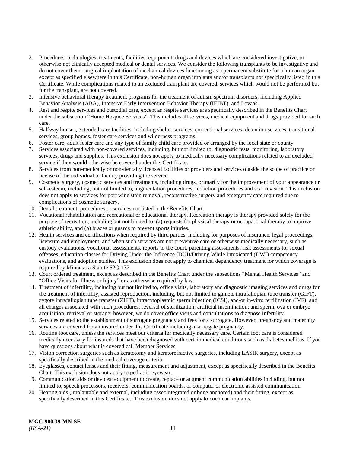- 2. Procedures, technologies, treatments, facilities, equipment, drugs and devices which are considered investigative, or otherwise not clinically accepted medical or dental services. We consider the following transplants to be investigative and do not cover them: surgical implantation of mechanical devices functioning as a permanent substitute for a human organ except as specified elsewhere in this Certificate, non-human organ implants and/or transplants not specifically listed in this Certificate. While complications related to an excluded transplant are covered, services which would not be performed but for the transplant, are not covered.
- 3. Intensive behavioral therapy treatment programs for the treatment of autism spectrum disorders, including Applied Behavior Analysis (ABA), Intensive Early Intervention Behavior Therapy (IEIBT), and Lovaas.
- 4. Rest and respite services and custodial care, except as respite services are specifically described in the Benefits Chart under the subsection "Home Hospice Services". This includes all services, medical equipment and drugs provided for such care.
- 5. Halfway houses, extended care facilities, including shelter services, correctional services, detention services, transitional services, group homes, foster care services and wilderness programs.
- 6. Foster care, adult foster care and any type of family child care provided or arranged by the local state or county.
- 7. Services associated with non-covered services, including, but not limited to, diagnostic tests, monitoring, laboratory services, drugs and supplies. This exclusion does not apply to medically necessary complications related to an excluded service if they would otherwise be covered under this Certificate.
- 8. Services from non-medically or non-dentally licensed facilities or providers and services outside the scope of practice or license of the individual or facility providing the service.
- 9. Cosmetic surgery, cosmetic services and treatments, including drugs, primarily for the improvement of your appearance or self-esteem, including, but not limited to, augmentation procedures, reduction procedures and scar revision. This exclusion does not apply to services for port wine stain removal, reconstructive surgery and emergency care required due to complications of cosmetic surgery.
- 10. Dental treatment, procedures or services not listed in the Benefits Chart.
- 11. Vocational rehabilitation and recreational or educational therapy. Recreation therapy is therapy provided solely for the purpose of recreation, including but not limited to: (a) requests for physical therapy or occupational therapy to improve athletic ability, and (b) braces or guards to prevent sports injuries.
- 12. Health services and certifications when required by third parties, including for purposes of insurance, legal proceedings, licensure and employment, and when such services are not preventive care or otherwise medically necessary, such as custody evaluations, vocational assessments, reports to the court, parenting assessments, risk assessments for sexual offenses, education classes for Driving Under the Influence (DUI)/Driving While Intoxicated (DWI) competency evaluations, and adoption studies. This exclusion does not apply to chemical dependency treatment for which coverage is required by Minnesota Statute 62Q.137.
- 13. Court ordered treatment, except as described in the Benefits Chart under the subsections "Mental Health Services" and "Office Visits for Illness or Injury" or as otherwise required by law.
- 14. Treatment of infertility, including but not limited to, office visits, laboratory and diagnostic imaging services and drugs for the treatment of infertility; assisted reproduction, including, but not limited to gamete intrafallopian tube transfer (GIFT), zygote intrafallopian tube transfer (ZIFT), intracytoplasmic sperm injection (ICSI), and/or in-vitro fertilization (IVF), and all charges associated with such procedures; reversal of sterilization; artificial insemination; and sperm, ova or embryo acquisition, retrieval or storage; however, we do cover office visits and consultations to diagnose infertility.
- 15. Services related to the establishment of surrogate pregnancy and fees for a surrogate. However, pregnancy and maternity services are covered for an insured under this Certificate including a surrogate pregnancy.
- 16. Routine foot care, unless the services meet our criteria for medically necessary care. Certain foot care is considered medically necessary for insureds that have been diagnosed with certain medical conditions such as diabetes mellitus. If you have questions about what is covered call Member Services
- 17. Vision correction surgeries such as keratotomy and keratorefractive surgeries, including LASIK surgery, except as specifically described in the medical coverage criteria.
- 18. Eyeglasses, contact lenses and their fitting, measurement and adjustment, except as specifically described in the Benefits Chart. This exclusion does not apply to pediatric eyewear.
- 19. Communication aids or devices: equipment to create, replace or augment communication abilities including, but not limited to, speech processors, receivers, communication boards, or computer or electronic assisted communication.
- 20. Hearing aids (implantable and external, including osseointegrated or bone anchored) and their fitting, except as specifically described in this Certificate. This exclusion does not apply to cochlear implants.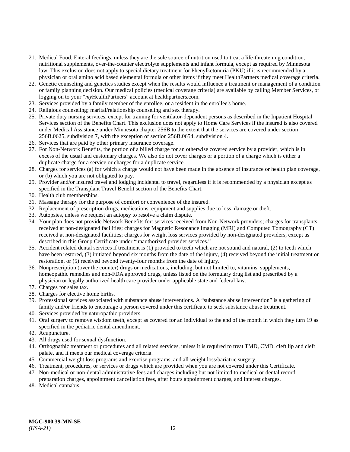- 21. Medical Food. Enteral feedings, unless they are the sole source of nutrition used to treat a life-threatening condition, nutritional supplements, over-the-counter electrolyte supplements and infant formula, except as required by Minnesota law. This exclusion does not apply to special dietary treatment for Phenylketonuria (PKU) if it is recommended by a physician or oral amino acid based elemental formula or other items if they meet HealthPartners medical coverage criteria.
- 22. Genetic counseling and genetics studies except when the results would influence a treatment or management of a condition or family planning decision. Our medical policies (medical coverage criteria) are available by calling Member Services, or logging on to your "*my*HealthPartners" account at [healthpartners.com.](https://www.healthpartners.com/hp/index.html)
- 23. Services provided by a family member of the enrollee, or a resident in the enrollee's home.
- 24. Religious counseling; marital/relationship counseling and sex therapy.
- 25. Private duty nursing services, except for training for ventilator-dependent persons as described in the Inpatient Hospital Services section of the Benefits Chart. This exclusion does not apply to Home Care Services if the insured is also covered under Medical Assistance under Minnesota chapter 256B to the extent that the services are covered under section 256B.0625, subdivision 7, with the exception of section 256B.0654, subdivision 4.
- 26. Services that are paid by other primary insurance coverage.
- 27. For Non-Network Benefits, the portion of a billed charge for an otherwise covered service by a provider, which is in excess of the usual and customary charges. We also do not cover charges or a portion of a charge which is either a duplicate charge for a service or charges for a duplicate service.
- 28. Charges for services (a) for which a charge would not have been made in the absence of insurance or health plan coverage, or (b) which you are not obligated to pay.
- 29. Provider and/or insured travel and lodging incidental to travel, regardless if it is recommended by a physician except as specified in the Transplant Travel Benefit section of the Benefits Chart.
- 30. Health club memberships.
- 31. Massage therapy for the purpose of comfort or convenience of the insured.
- 32. Replacement of prescription drugs, medications, equipment and supplies due to loss, damage or theft.
- 33. Autopsies, unless we request an autopsy to resolve a claim dispute.
- 34. Your plan does not provide Network Benefits for: services received from Non-Network providers; charges for transplants received at non-designated facilities; charges for Magnetic Resonance Imaging (MRI) and Computed Tomography (CT) received at non-designated facilities; charges for weight loss services provided by non-designated providers, except as described in this Group Certificate under "unauthorized provider services."
- 35. Accident related dental services if treatment is (1) provided to teeth which are not sound and natural, (2) to teeth which have been restored, (3) initiated beyond six months from the date of the injury, (4) received beyond the initial treatment or restoration, or (5) received beyond twenty-four months from the date of injury.
- 36. Nonprescription (over the counter) drugs or medications, including, but not limited to, vitamins, supplements, homeopathic remedies and non-FDA approved drugs, unless listed on the formulary drug list and prescribed by a physician or legally authorized health care provider under applicable state and federal law.
- 37. Charges for sales tax.
- 38. Charges for elective home births.
- 39. Professional services associated with substance abuse interventions. A "substance abuse intervention" is a gathering of family and/or friends to encourage a person covered under this certificate to seek substance abuse treatment.
- 40. Services provided by naturopathic providers.
- 41. Oral surgery to remove wisdom teeth, except as covered for an individual to the end of the month in which they turn 19 as specified in the pediatric dental amendment.
- 42. Acupuncture.
- 43. All drugs used for sexual dysfunction.
- 44. Orthognathic treatment or procedures and all related services, unless it is required to treat TMD, CMD, cleft lip and cleft palate, and it meets our medical coverage criteria.
- 45. Commercial weight loss programs and exercise programs, and all weight loss/bariatric surgery.
- 46. Treatment, procedures, or services or drugs which are provided when you are not covered under this Certificate.
- 47. Non-medical or non-dental administrative fees and charges including but not limited to medical or dental record preparation charges, appointment cancellation fees, after hours appointment charges, and interest charges.
- 48. Medical cannabis.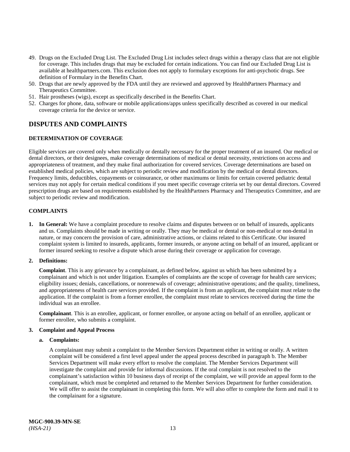- 49. Drugs on the Excluded Drug List. The Excluded Drug List includes select drugs within a therapy class that are not eligible for coverage. This includes drugs that may be excluded for certain indications. You can find our Excluded Drug List is available at [healthpartners.com.](https://www.healthpartners.com/hp/index.html) This exclusion does not apply to formulary exceptions for anti-psychotic drugs. See definition of Formulary in the Benefits Chart.
- 50. Drugs that are newly approved by the FDA until they are reviewed and approved by HealthPartners Pharmacy and Therapeutics Committee.
- 51. Hair prostheses (wigs), except as specifically described in the Benefits Chart.
- 52. Charges for phone, data, software or mobile applications/apps unless specifically described as covered in our medical coverage criteria for the device or service.

# <span id="page-18-0"></span>**DISPUTES AND COMPLAINTS**

# <span id="page-18-1"></span>**DETERMINATION OF COVERAGE**

Eligible services are covered only when medically or dentally necessary for the proper treatment of an insured. Our medical or dental directors, or their designees, make coverage determinations of medical or dental necessity, restrictions on access and appropriateness of treatment, and they make final authorization for covered services. Coverage determinations are based on established medical policies, which are subject to periodic review and modification by the medical or dental directors. Frequency limits, deductibles, copayments or coinsurance, or other maximums or limits for certain covered pediatric dental services may not apply for certain medical conditions if you meet specific coverage criteria set by our dental directors. Covered prescription drugs are based on requirements established by the HealthPartners Pharmacy and Therapeutics Committee, and are subject to periodic review and modification.

# <span id="page-18-2"></span>**COMPLAINTS**

**1. In General:** We have a complaint procedure to resolve claims and disputes between or on behalf of insureds, applicants and us. Complaints should be made in writing or orally. They may be medical or dental or non-medical or non-dental in nature, or may concern the provision of care, administrative actions, or claims related to this Certificate. Our insured complaint system is limited to insureds, applicants, former insureds, or anyone acting on behalf of an insured, applicant or former insured seeking to resolve a dispute which arose during their coverage or application for coverage.

# **2. Definitions:**

**Complaint**. This is any grievance by a complainant, as defined below, against us which has been submitted by a complainant and which is not under litigation. Examples of complaints are the scope of coverage for health care services; eligibility issues; denials, cancellations, or nonrenewals of coverage; administrative operations; and the quality, timeliness, and appropriateness of health care services provided. If the complaint is from an applicant, the complaint must relate to the application. If the complaint is from a former enrollee, the complaint must relate to services received during the time the individual was an enrollee.

**Complainant**. This is an enrollee, applicant, or former enrollee, or anyone acting on behalf of an enrollee, applicant or former enrollee, who submits a complaint.

# **3. Complaint and Appeal Process**

# **a. Complaints:**

A complainant may submit a complaint to the Member Services Department either in writing or orally. A written complaint will be considered a first level appeal under the appeal process described in paragraph b. The Member Services Department will make every effort to resolve the complaint. The Member Services Department will investigate the complaint and provide for informal discussions. If the oral complaint is not resolved to the complainant's satisfaction within 10 business days of receipt of the complaint, we will provide an appeal form to the complainant, which must be completed and returned to the Member Services Department for further consideration. We will offer to assist the complainant in completing this form. We will also offer to complete the form and mail it to the complainant for a signature.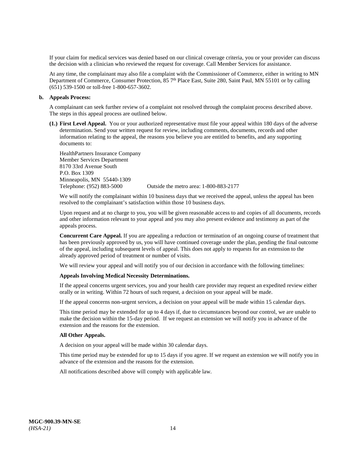If your claim for medical services was denied based on our clinical coverage criteria, you or your provider can discuss the decision with a clinician who reviewed the request for coverage. Call Member Services for assistance.

At any time, the complainant may also file a complaint with the Commissioner of Commerce, either in writing to MN Department of Commerce, Consumer Protection, 85 7<sup>th</sup> Place East, Suite 280, Saint Paul, MN 55101 or by calling (651) 539-1500 or toll-free 1-800-657-3602.

#### **b. Appeals Process:**

A complainant can seek further review of a complaint not resolved through the complaint process described above. The steps in this appeal process are outlined below.

**(1.) First Level Appeal.** You or your authorized representative must file your appeal within 180 days of the adverse determination. Send your written request for review, including comments, documents, records and other information relating to the appeal, the reasons you believe you are entitled to benefits, and any supporting documents to:

HealthPartners Insurance Company Member Services Department 8170 33rd Avenue South P.O. Box 1309 Minneapolis, MN 55440-1309<br>Telephone: (952) 883-5000

Outside the metro area: 1-800-883-2177

We will notify the complainant within 10 business days that we received the appeal, unless the appeal has been resolved to the complainant's satisfaction within those 10 business days.

Upon request and at no charge to you, you will be given reasonable access to and copies of all documents, records and other information relevant to your appeal and you may also present evidence and testimony as part of the appeals process.

**Concurrent Care Appeal.** If you are appealing a reduction or termination of an ongoing course of treatment that has been previously approved by us, you will have continued coverage under the plan, pending the final outcome of the appeal, including subsequent levels of appeal. This does not apply to requests for an extension to the already approved period of treatment or number of visits.

We will review your appeal and will notify you of our decision in accordance with the following timelines:

# **Appeals Involving Medical Necessity Determinations.**

If the appeal concerns urgent services, you and your health care provider may request an expedited review either orally or in writing. Within 72 hours of such request, a decision on your appeal will be made.

If the appeal concerns non-urgent services, a decision on your appeal will be made within 15 calendar days.

This time period may be extended for up to 4 days if, due to circumstances beyond our control, we are unable to make the decision within the 15-day period. If we request an extension we will notify you in advance of the extension and the reasons for the extension.

#### **All Other Appeals.**

A decision on your appeal will be made within 30 calendar days.

This time period may be extended for up to 15 days if you agree. If we request an extension we will notify you in advance of the extension and the reasons for the extension.

All notifications described above will comply with applicable law.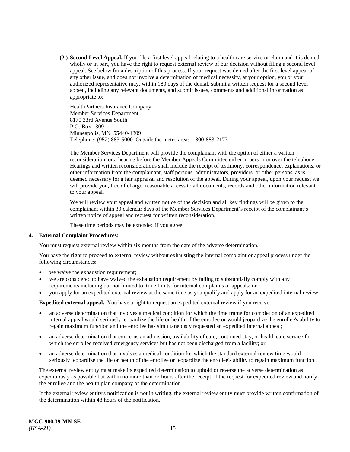**(2.) Second Level Appeal.** If you file a first level appeal relating to a health care service or claim and it is denied, wholly or in part, you have the right to request external review of our decision without filing a second level appeal. See below for a description of this process. If your request was denied after the first level appeal of any other issue, and does not involve a determination of medical necessity, at your option, you or your authorized representative may, within 180 days of the denial, submit a written request for a second level appeal, including any relevant documents, and submit issues, comments and additional information as appropriate to:

HealthPartners Insurance Company Member Services Department 8170 33rd Avenue South P.O. Box 1309 Minneapolis, MN 55440-1309 Telephone: (952) 883-5000 Outside the metro area: 1-800-883-2177

The Member Services Department will provide the complainant with the option of either a written reconsideration, or a hearing before the Member Appeals Committee either in person or over the telephone. Hearings and written reconsiderations shall include the receipt of testimony, correspondence, explanations, or other information from the complainant, staff persons, administrators, providers, or other persons, as is deemed necessary for a fair appraisal and resolution of the appeal. During your appeal, upon your request we will provide you, free of charge, reasonable access to all documents, records and other information relevant to your appeal.

We will review your appeal and written notice of the decision and all key findings will be given to the complainant within 30 calendar days of the Member Services Department's receipt of the complainant's written notice of appeal and request for written reconsideration.

These time periods may be extended if you agree.

# **4. External Complaint Procedures:**

You must request external review within six months from the date of the adverse determination.

You have the right to proceed to external review without exhausting the internal complaint or appeal process under the following circumstances:

- we waive the exhaustion requirement;
- we are considered to have waived the exhaustion requirement by failing to substantially comply with any requirements including but not limited to, time limits for internal complaints or appeals; or
- you apply for an expedited external review at the same time as you qualify and apply for an expedited internal review.

**Expedited external appeal.** You have a right to request an expedited external review if you receive:

- an adverse determination that involves a medical condition for which the time frame for completion of an expedited internal appeal would seriously jeopardize the life or health of the enrollee or would jeopardize the enrollee's ability to regain maximum function and the enrollee has simultaneously requested an expedited internal appeal;
- an adverse determination that concerns an admission, availability of care, continued stay, or health care service for which the enrollee received emergency services but has not been discharged from a facility; or
- an adverse determination that involves a medical condition for which the standard external review time would seriously jeopardize the life or health of the enrollee or jeopardize the enrollee's ability to regain maximum function.

The external review entity must make its expedited determination to uphold or reverse the adverse determination as expeditiously as possible but within no more than 72 hours after the receipt of the request for expedited review and notify the enrollee and the health plan company of the determination.

If the external review entity's notification is not in writing, the external review entity must provide written confirmation of the determination within 48 hours of the notification.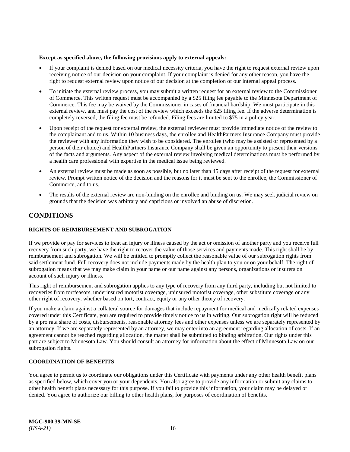#### **Except as specified above, the following provisions apply to external appeals:**

- If your complaint is denied based on our medical necessity criteria, you have the right to request external review upon receiving notice of our decision on your complaint. If your complaint is denied for any other reason, you have the right to request external review upon notice of our decision at the completion of our internal appeal process.
- To initiate the external review process, you may submit a written request for an external review to the Commissioner of Commerce. This written request must be accompanied by a \$25 filing fee payable to the Minnesota Department of Commerce. This fee may be waived by the Commissioner in cases of financial hardship. We must participate in this external review, and must pay the cost of the review which exceeds the \$25 filing fee. If the adverse determination is completely reversed, the filing fee must be refunded. Filing fees are limited to \$75 in a policy year.
- Upon receipt of the request for external review, the external reviewer must provide immediate notice of the review to the complainant and to us. Within 10 business days, the enrollee and HealthPartners Insurance Company must provide the reviewer with any information they wish to be considered. The enrollee (who may be assisted or represented by a person of their choice) and HealthPartners Insurance Company shall be given an opportunity to present their versions of the facts and arguments. Any aspect of the external review involving medical determinations must be performed by a health care professional with expertise in the medical issue being reviewed.
- An external review must be made as soon as possible, but no later than 45 days after receipt of the request for external review. Prompt written notice of the decision and the reasons for it must be sent to the enrollee, the Commissioner of Commerce, and to us.
- The results of the external review are non-binding on the enrollee and binding on us. We may seek judicial review on grounds that the decision was arbitrary and capricious or involved an abuse of discretion.

# <span id="page-21-0"></span>**CONDITIONS**

# <span id="page-21-1"></span>**RIGHTS OF REIMBURSEMENT AND SUBROGATION**

If we provide or pay for services to treat an injury or illness caused by the act or omission of another party and you receive full recovery from such party, we have the right to recover the value of those services and payments made. This right shall be by reimbursement and subrogation. We will be entitled to promptly collect the reasonable value of our subrogation rights from said settlement fund. Full recovery does not include payments made by the health plan to you or on your behalf. The right of subrogation means that we may make claim in your name or our name against any persons, organizations or insurers on account of such injury or illness.

This right of reimbursement and subrogation applies to any type of recovery from any third party, including but not limited to recoveries from tortfeasors, underinsured motorist coverage, uninsured motorist coverage, other substitute coverage or any other right of recovery, whether based on tort, contract, equity or any other theory of recovery.

If you make a claim against a collateral source for damages that include repayment for medical and medically related expenses covered under this Certificate, you are required to provide timely notice to us in writing. Our subrogation right will be reduced by a pro rata share of costs, disbursements, reasonable attorney fees and other expenses unless we are separately represented by an attorney. If we are separately represented by an attorney, we may enter into an agreement regarding allocation of costs. If an agreement cannot be reached regarding allocation, the matter shall be submitted to binding arbitration. Our rights under this part are subject to Minnesota Law. You should consult an attorney for information about the effect of Minnesota Law on our subrogation rights.

# <span id="page-21-2"></span>**COORDINATION OF BENEFITS**

You agree to permit us to coordinate our obligations under this Certificate with payments under any other health benefit plans as specified below, which cover you or your dependents. You also agree to provide any information or submit any claims to other health benefit plans necessary for this purpose. If you fail to provide this information, your claim may be delayed or denied. You agree to authorize our billing to other health plans, for purposes of coordination of benefits.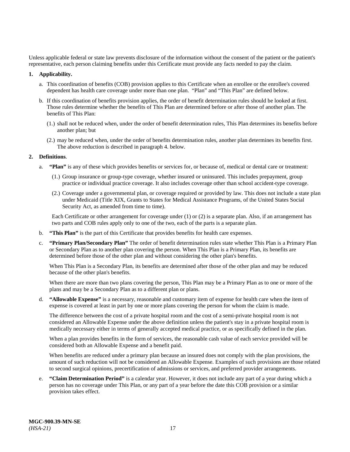Unless applicable federal or state law prevents disclosure of the information without the consent of the patient or the patient's representative, each person claiming benefits under this Certificate must provide any facts needed to pay the claim.

#### **1. Applicability.**

- a. This coordination of benefits (COB) provision applies to this Certificate when an enrollee or the enrollee's covered dependent has health care coverage under more than one plan. "Plan" and "This Plan" are defined below.
- b. If this coordination of benefits provision applies, the order of benefit determination rules should be looked at first. Those rules determine whether the benefits of This Plan are determined before or after those of another plan. The benefits of This Plan:
	- (1.) shall not be reduced when, under the order of benefit determination rules, This Plan determines its benefits before another plan; but
	- (2.) may be reduced when, under the order of benefits determination rules, another plan determines its benefits first. The above reduction is described in paragraph 4. below.

#### **2. Definitions**.

- a. **"Plan"** is any of these which provides benefits or services for, or because of, medical or dental care or treatment:
	- (1.) Group insurance or group-type coverage, whether insured or uninsured. This includes prepayment, group practice or individual practice coverage. It also includes coverage other than school accident-type coverage.
	- (2.) Coverage under a governmental plan, or coverage required or provided by law. This does not include a state plan under Medicaid (Title XIX, Grants to States for Medical Assistance Programs, of the United States Social Security Act, as amended from time to time).

Each Certificate or other arrangement for coverage under (1) or (2) is a separate plan. Also, if an arrangement has two parts and COB rules apply only to one of the two, each of the parts is a separate plan.

- b. **"This Plan"** is the part of this Certificate that provides benefits for health care expenses.
- c. **"Primary Plan/Secondary Plan"** The order of benefit determination rules state whether This Plan is a Primary Plan or Secondary Plan as to another plan covering the person. When This Plan is a Primary Plan, its benefits are determined before those of the other plan and without considering the other plan's benefits.

When This Plan is a Secondary Plan, its benefits are determined after those of the other plan and may be reduced because of the other plan's benefits.

When there are more than two plans covering the person, This Plan may be a Primary Plan as to one or more of the plans and may be a Secondary Plan as to a different plan or plans.

d. **"Allowable Expense"** is a necessary, reasonable and customary item of expense for health care when the item of expense is covered at least in part by one or more plans covering the person for whom the claim is made.

The difference between the cost of a private hospital room and the cost of a semi-private hospital room is not considered an Allowable Expense under the above definition unless the patient's stay in a private hospital room is medically necessary either in terms of generally accepted medical practice, or as specifically defined in the plan.

When a plan provides benefits in the form of services, the reasonable cash value of each service provided will be considered both an Allowable Expense and a benefit paid.

When benefits are reduced under a primary plan because an insured does not comply with the plan provisions, the amount of such reduction will not be considered an Allowable Expense. Examples of such provisions are those related to second surgical opinions, precertification of admissions or services, and preferred provider arrangements.

e. **"Claim Determination Period"** is a calendar year. However, it does not include any part of a year during which a person has no coverage under This Plan, or any part of a year before the date this COB provision or a similar provision takes effect.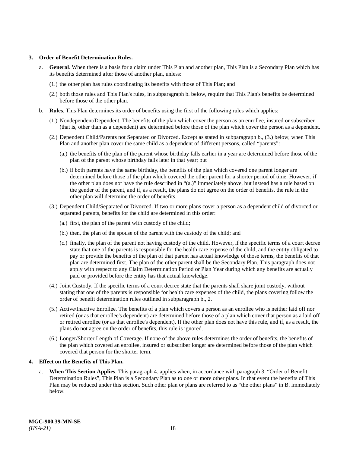#### **3. Order of Benefit Determination Rules.**

- a. **General**. When there is a basis for a claim under This Plan and another plan, This Plan is a Secondary Plan which has its benefits determined after those of another plan, unless:
	- (1.) the other plan has rules coordinating its benefits with those of This Plan; and
	- (2.) both those rules and This Plan's rules, in subparagraph b. below, require that This Plan's benefits be determined before those of the other plan.
- b. **Rules**. This Plan determines its order of benefits using the first of the following rules which applies:
	- (1.) Nondependent/Dependent. The benefits of the plan which cover the person as an enrollee, insured or subscriber (that is, other than as a dependent) are determined before those of the plan which cover the person as a dependent.
	- (2.) Dependent Child/Parents not Separated or Divorced. Except as stated in subparagraph b., (3.) below, when This Plan and another plan cover the same child as a dependent of different persons, called "parents":
		- (a.) the benefits of the plan of the parent whose birthday falls earlier in a year are determined before those of the plan of the parent whose birthday falls later in that year; but
		- (b.) if both parents have the same birthday, the benefits of the plan which covered one parent longer are determined before those of the plan which covered the other parent for a shorter period of time. However, if the other plan does not have the rule described in "(a.)" immediately above, but instead has a rule based on the gender of the parent, and if, as a result, the plans do not agree on the order of benefits, the rule in the other plan will determine the order of benefits.
	- (3.) Dependent Child/Separated or Divorced. If two or more plans cover a person as a dependent child of divorced or separated parents, benefits for the child are determined in this order:
		- (a.) first, the plan of the parent with custody of the child;
		- (b.) then, the plan of the spouse of the parent with the custody of the child; and
		- (c.) finally, the plan of the parent not having custody of the child. However, if the specific terms of a court decree state that one of the parents is responsible for the health care expense of the child, and the entity obligated to pay or provide the benefits of the plan of that parent has actual knowledge of those terms, the benefits of that plan are determined first. The plan of the other parent shall be the Secondary Plan. This paragraph does not apply with respect to any Claim Determination Period or Plan Year during which any benefits are actually paid or provided before the entity has that actual knowledge.
	- (4.) Joint Custody. If the specific terms of a court decree state that the parents shall share joint custody, without stating that one of the parents is responsible for health care expenses of the child, the plans covering follow the order of benefit determination rules outlined in subparagraph b., 2.
	- (5.) Active/Inactive Enrollee. The benefits of a plan which covers a person as an enrollee who is neither laid off nor retired (or as that enrollee's dependent) are determined before those of a plan which cover that person as a laid off or retired enrollee (or as that enrollee's dependent). If the other plan does not have this rule, and if, as a result, the plans do not agree on the order of benefits, this rule is ignored.
	- (6.) Longer/Shorter Length of Coverage. If none of the above rules determines the order of benefits, the benefits of the plan which covered an enrollee, insured or subscriber longer are determined before those of the plan which covered that person for the shorter term.

# **4. Effect on the Benefits of This Plan.**

a. **When This Section Applies**. This paragraph 4. applies when, in accordance with paragraph 3. "Order of Benefit Determination Rules", This Plan is a Secondary Plan as to one or more other plans. In that event the benefits of This Plan may be reduced under this section. Such other plan or plans are referred to as "the other plans" in B. immediately below.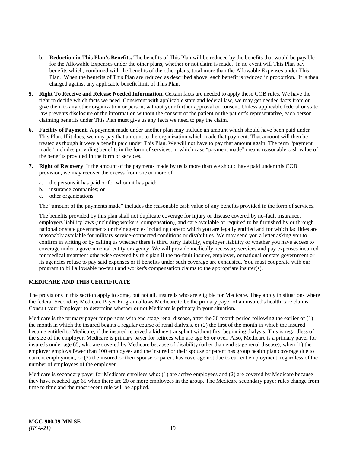- b. **Reduction in This Plan's Benefits.** The benefits of This Plan will be reduced by the benefits that would be payable for the Allowable Expenses under the other plans, whether or not claim is made. In no event will This Plan pay benefits which, combined with the benefits of the other plans, total more than the Allowable Expenses under This Plan. When the benefits of This Plan are reduced as described above, each benefit is reduced in proportion. It is then charged against any applicable benefit limit of This Plan.
- **5. Right To Receive and Release Needed Information.** Certain facts are needed to apply these COB rules. We have the right to decide which facts we need. Consistent with applicable state and federal law, we may get needed facts from or give them to any other organization or person, without your further approval or consent. Unless applicable federal or state law prevents disclosure of the information without the consent of the patient or the patient's representative, each person claiming benefits under This Plan must give us any facts we need to pay the claim.
- **6. Facility of Payment**. A payment made under another plan may include an amount which should have been paid under This Plan. If it does, we may pay that amount to the organization which made that payment. That amount will then be treated as though it were a benefit paid under This Plan. We will not have to pay that amount again. The term "payment made" includes providing benefits in the form of services, in which case "payment made" means reasonable cash value of the benefits provided in the form of services.
- **7. Right of Recovery**. If the amount of the payments made by us is more than we should have paid under this COB provision, we may recover the excess from one or more of:
	- a. the persons it has paid or for whom it has paid;
	- b. insurance companies; or
	- c. other organizations.

The "amount of the payments made" includes the reasonable cash value of any benefits provided in the form of services.

The benefits provided by this plan shall not duplicate coverage for injury or disease covered by no-fault insurance, employers liability laws (including workers' compensation), and care available or required to be furnished by or through national or state governments or their agencies including care to which you are legally entitled and for which facilities are reasonably available for military service-connected conditions or disabilities. We may send you a letter asking you to confirm in writing or by calling us whether there is third party liability, employer liability or whether you have access to coverage under a governmental entity or agency. We will provide medically necessary services and pay expenses incurred for medical treatment otherwise covered by this plan if the no-fault insurer, employer, or national or state government or its agencies refuse to pay said expenses or if benefits under such coverage are exhausted. You must cooperate with our program to bill allowable no-fault and worker's compensation claims to the appropriate insurer(s).

# <span id="page-24-0"></span>**MEDICARE AND THIS CERTIFICATE**

The provisions in this section apply to some, but not all, insureds who are eligible for Medicare. They apply in situations where the federal Secondary Medicare Payer Program allows Medicare to be the primary payer of an insured's health care claims. Consult your Employer to determine whether or not Medicare is primary in your situation.

Medicare is the primary payer for persons with end stage renal disease, after the 30 month period following the earlier of (1) the month in which the insured begins a regular course of renal dialysis, or (2) the first of the month in which the insured became entitled to Medicare, if the insured received a kidney transplant without first beginning dialysis. This is regardless of the size of the employer. Medicare is primary payer for retirees who are age 65 or over. Also, Medicare is a primary payer for insureds under age 65, who are covered by Medicare because of disability (other than end stage renal disease), when (1) the employer employs fewer than 100 employees and the insured or their spouse or parent has group health plan coverage due to current employment, or (2) the insured or their spouse or parent has coverage not due to current employment, regardless of the number of employees of the employer.

Medicare is secondary payer for Medicare enrollees who: (1) are active employees and (2) are covered by Medicare because they have reached age 65 when there are 20 or more employees in the group. The Medicare secondary payer rules change from time to time and the most recent rule will be applied.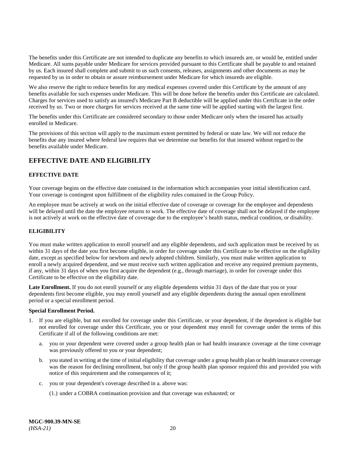The benefits under this Certificate are not intended to duplicate any benefits to which insureds are, or would be, entitled under Medicare. All sums payable under Medicare for services provided pursuant to this Certificate shall be payable to and retained by us. Each insured shall complete and submit to us such consents, releases, assignments and other documents as may be requested by us in order to obtain or assure reimbursement under Medicare for which insureds are eligible.

We also reserve the right to reduce benefits for any medical expenses covered under this Certificate by the amount of any benefits available for such expenses under Medicare. This will be done before the benefits under this Certificate are calculated. Charges for services used to satisfy an insured's Medicare Part B deductible will be applied under this Certificate in the order received by us. Two or more charges for services received at the same time will be applied starting with the largest first.

The benefits under this Certificate are considered secondary to those under Medicare only when the insured has actually enrolled in Medicare.

The provisions of this section will apply to the maximum extent permitted by federal or state law. We will not reduce the benefits due any insured where federal law requires that we determine our benefits for that insured without regard to the benefits available under Medicare.

# <span id="page-25-0"></span>**EFFECTIVE DATE AND ELIGIBILITY**

# <span id="page-25-1"></span>**EFFECTIVE DATE**

Your coverage begins on the effective date contained in the information which accompanies your initial identification card. Your coverage is contingent upon fulfillment of the eligibility rules contained in the Group Policy.

An employee must be actively at work on the initial effective date of coverage or coverage for the employee and dependents will be delayed until the date the employee returns to work. The effective date of coverage shall not be delayed if the employee is not actively at work on the effective date of coverage due to the employee's health status, medical condition, or disability.

# <span id="page-25-2"></span>**ELIGIBILITY**

You must make written application to enroll yourself and any eligible dependents, and such application must be received by us within 31 days of the date you first become eligible, in order for coverage under this Certificate to be effective on the eligibility date, except as specified below for newborn and newly adopted children. Similarly, you must make written application to enroll a newly acquired dependent, and we must receive such written application and receive any required premium payments, if any, within 31 days of when you first acquire the dependent (e.g., through marriage), in order for coverage under this Certificate to be effective on the eligibility date.

Late Enrollment. If you do not enroll yourself or any eligible dependents within 31 days of the date that you or your dependents first become eligible, you may enroll yourself and any eligible dependents during the annual open enrollment period or a special enrollment period.

# **Special Enrollment Period.**

- 1. If you are eligible, but not enrolled for coverage under this Certificate, or your dependent, if the dependent is eligible but not enrolled for coverage under this Certificate, you or your dependent may enroll for coverage under the terms of this Certificate if all of the following conditions are met:
	- a. you or your dependent were covered under a group health plan or had health insurance coverage at the time coverage was previously offered to you or your dependent;
	- b. you stated in writing at the time of initial eligibility that coverage under a group health plan or health insurance coverage was the reason for declining enrollment, but only if the group health plan sponsor required this and provided you with notice of this requirement and the consequences of it;
	- c. you or your dependent's coverage described in a. above was:
		- (1.) under a COBRA continuation provision and that coverage was exhausted; or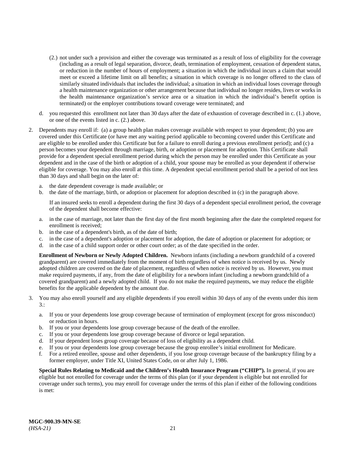- (2.) not under such a provision and either the coverage was terminated as a result of loss of eligibility for the coverage (including as a result of legal separation, divorce, death, termination of employment, cessation of dependent status, or reduction in the number of hours of employment; a situation in which the individual incurs a claim that would meet or exceed a lifetime limit on all benefits; a situation in which coverage is no longer offered to the class of similarly situated individuals that includes the individual; a situation in which an individual loses coverage through a health maintenance organization or other arrangement because that individual no longer resides, lives or works in the health maintenance organization's service area or a situation in which the individual's benefit option is terminated) or the employer contributions toward coverage were terminated; and
- d. you requested this enrollment not later than 30 days after the date of exhaustion of coverage described in c. (1.) above, or one of the events listed in c. (2.) above.
- 2. Dependents may enroll if: (a) a group health plan makes coverage available with respect to your dependent; (b) you are covered under this Certificate (or have met any waiting period applicable to becoming covered under this Certificate and are eligible to be enrolled under this Certificate but for a failure to enroll during a previous enrollment period); and (c) a person becomes your dependent through marriage, birth, or adoption or placement for adoption. This Certificate shall provide for a dependent special enrollment period during which the person may be enrolled under this Certificate as your dependent and in the case of the birth or adoption of a child, your spouse may be enrolled as your dependent if otherwise eligible for coverage. You may also enroll at this time. A dependent special enrollment period shall be a period of not less than 30 days and shall begin on the later of:
	- a. the date dependent coverage is made available; or
	- b. the date of the marriage, birth, or adoption or placement for adoption described in (c) in the paragraph above.

If an insured seeks to enroll a dependent during the first 30 days of a dependent special enrollment period, the coverage of the dependent shall become effective:

- a. in the case of marriage, not later than the first day of the first month beginning after the date the completed request for enrollment is received;
- b. in the case of a dependent's birth, as of the date of birth;
- c. in the case of a dependent's adoption or placement for adoption, the date of adoption or placement for adoption; or
- d. in the case of a child support order or other court order; as of the date specified in the order.

**Enrollment of Newborn or Newly Adopted Children.** Newborn infants (including a newborn grandchild of a covered grandparent) are covered immediately from the moment of birth regardless of when notice is received by us. Newly adopted children are covered on the date of placement, regardless of when notice is received by us. However, you must make required payments, if any, from the date of eligibility for a newborn infant (including a newborn grandchild of a covered grandparent) and a newly adopted child. If you do not make the required payments, we may reduce the eligible benefits for the applicable dependent by the amount due.

- 3. You may also enroll yourself and any eligible dependents if you enroll within 30 days of any of the events under this item 3.:
	- a. If you or your dependents lose group coverage because of termination of employment (except for gross misconduct) or reduction in hours.
	- b. If you or your dependents lose group coverage because of the death of the enrollee.
	- c. If you or your dependents lose group coverage because of divorce or legal separation.
	- d. If your dependent loses group coverage because of loss of eligibility as a dependent child.
	- e. If you or your dependents lose group coverage because the group enrollee's initial enrollment for Medicare.
	- f. For a retired enrollee, spouse and other dependents, if you lose group coverage because of the bankruptcy filing by a former employer, under Title XI, United States Code, on or after July 1, 1986.

**Special Rules Relating to Medicaid and the Children's Health Insurance Program ("CHIP").** In general, if you are eligible but not enrolled for coverage under the terms of this plan (or if your dependent is eligible but not enrolled for coverage under such terms), you may enroll for coverage under the terms of this plan if either of the following conditions is met: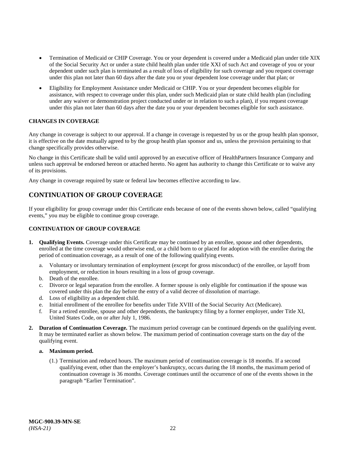- Termination of Medicaid or CHIP Coverage. You or your dependent is covered under a Medicaid plan under title XIX of the Social Security Act or under a state child health plan under title XXI of such Act and coverage of you or your dependent under such plan is terminated as a result of loss of eligibility for such coverage and you request coverage under this plan not later than 60 days after the date you or your dependent lose coverage under that plan; or
- Eligibility for Employment Assistance under Medicaid or CHIP. You or your dependent becomes eligible for assistance, with respect to coverage under this plan, under such Medicaid plan or state child health plan (including under any waiver or demonstration project conducted under or in relation to such a plan), if you request coverage under this plan not later than 60 days after the date you or your dependent becomes eligible for such assistance.

# <span id="page-27-0"></span>**CHANGES IN COVERAGE**

Any change in coverage is subject to our approval. If a change in coverage is requested by us or the group health plan sponsor, it is effective on the date mutually agreed to by the group health plan sponsor and us, unless the provision pertaining to that change specifically provides otherwise.

No change in this Certificate shall be valid until approved by an executive officer of HealthPartners Insurance Company and unless such approval be endorsed hereon or attached hereto. No agent has authority to change this Certificate or to waive any of its provisions.

Any change in coverage required by state or federal law becomes effective according to law.

# <span id="page-27-1"></span>**CONTINUATION OF GROUP COVERAGE**

If your eligibility for group coverage under this Certificate ends because of one of the events shown below, called "qualifying events," you may be eligible to continue group coverage.

# <span id="page-27-2"></span>**CONTINUATION OF GROUP COVERAGE**

- **1. Qualifying Events.** Coverage under this Certificate may be continued by an enrollee, spouse and other dependents, enrolled at the time coverage would otherwise end, or a child born to or placed for adoption with the enrollee during the period of continuation coverage, as a result of one of the following qualifying events.
	- a. Voluntary or involuntary termination of employment (except for gross misconduct) of the enrollee, or layoff from employment, or reduction in hours resulting in a loss of group coverage.
	- b. Death of the enrollee.
	- c. Divorce or legal separation from the enrollee. A former spouse is only eligible for continuation if the spouse was covered under this plan the day before the entry of a valid decree of dissolution of marriage.
	- d. Loss of eligibility as a dependent child.
	- e. Initial enrollment of the enrollee for benefits under Title XVIII of the Social Security Act (Medicare).
	- f. For a retired enrollee, spouse and other dependents, the bankruptcy filing by a former employer, under Title XI, United States Code, on or after July 1, 1986.
- **2. Duration of Continuation Coverage.** The maximum period coverage can be continued depends on the qualifying event. It may be terminated earlier as shown below. The maximum period of continuation coverage starts on the day of the qualifying event.

# **a. Maximum period.**

(1.) Termination and reduced hours. The maximum period of continuation coverage is 18 months. If a second qualifying event, other than the employer's bankruptcy, occurs during the 18 months, the maximum period of continuation coverage is 36 months. Coverage continues until the occurrence of one of the events shown in the paragraph "Earlier Termination".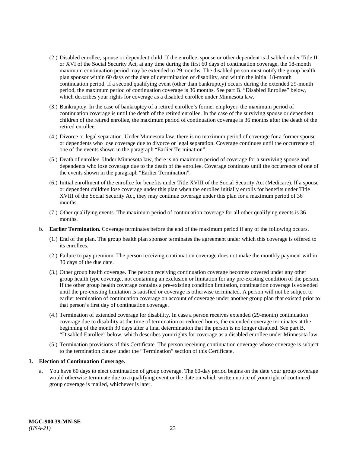- (2.) Disabled enrollee, spouse or dependent child. If the enrollee, spouse or other dependent is disabled under Title II or XVI of the Social Security Act, at any time during the first 60 days of continuation coverage, the 18-month maximum continuation period may be extended to 29 months. The disabled person must notify the group health plan sponsor within 60 days of the date of determination of disability, and within the initial 18-month continuation period. If a second qualifying event (other than bankruptcy) occurs during the extended 29-month period, the maximum period of continuation coverage is 36 months. See part B. "Disabled Enrollee" below, which describes your rights for coverage as a disabled enrollee under Minnesota law.
- (3.) Bankruptcy. In the case of bankruptcy of a retired enrollee's former employer, the maximum period of continuation coverage is until the death of the retired enrollee. In the case of the surviving spouse or dependent children of the retired enrollee, the maximum period of continuation coverage is 36 months after the death of the retired enrollee.
- (4.) Divorce or legal separation. Under Minnesota law, there is no maximum period of coverage for a former spouse or dependents who lose coverage due to divorce or legal separation. Coverage continues until the occurrence of one of the events shown in the paragraph "Earlier Termination".
- (5.) Death of enrollee. Under Minnesota law, there is no maximum period of coverage for a surviving spouse and dependents who lose coverage due to the death of the enrollee. Coverage continues until the occurrence of one of the events shown in the paragraph "Earlier Termination".
- (6.) Initial enrollment of the enrollee for benefits under Title XVIII of the Social Security Act (Medicare). If a spouse or dependent children lose coverage under this plan when the enrollee initially enrolls for benefits under Title XVIII of the Social Security Act, they may continue coverage under this plan for a maximum period of 36 months.
- (7.) Other qualifying events. The maximum period of continuation coverage for all other qualifying events is 36 months.
- b. **Earlier Termination.** Coverage terminates before the end of the maximum period if any of the following occurs.
	- (1.) End of the plan. The group health plan sponsor terminates the agreement under which this coverage is offered to its enrollees.
	- (2.) Failure to pay premium. The person receiving continuation coverage does not make the monthly payment within 30 days of the due date.
	- (3.) Other group health coverage. The person receiving continuation coverage becomes covered under any other group health type coverage, not containing an exclusion or limitation for any pre-existing condition of the person. If the other group health coverage contains a pre-existing condition limitation, continuation coverage is extended until the pre-existing limitation is satisfied or coverage is otherwise terminated. A person will not be subject to earlier termination of continuation coverage on account of coverage under another group plan that existed prior to that person's first day of continuation coverage.
	- (4.) Termination of extended coverage for disability. In case a person receives extended (29-month) continuation coverage due to disability at the time of termination or reduced hours, the extended coverage terminates at the beginning of the month 30 days after a final determination that the person is no longer disabled. See part B. "Disabled Enrollee" below, which describes your rights for coverage as a disabled enrollee under Minnesota law.
	- (5.) Termination provisions of this Certificate. The person receiving continuation coverage whose coverage is subject to the termination clause under the "Termination" section of this Certificate.

# **3. Election of Continuation Coverage.**

a. You have 60 days to elect continuation of group coverage. The 60-day period begins on the date your group coverage would otherwise terminate due to a qualifying event or the date on which written notice of your right of continued group coverage is mailed, whichever is later.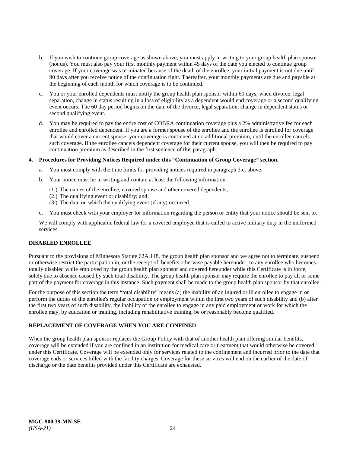- b. If you wish to continue group coverage as shown above, you must apply in writing to your group health plan sponsor (not us). You must also pay your first monthly payment within 45 days of the date you elected to continue group coverage. If your coverage was terminated because of the death of the enrollee, your initial payment is not due until 90 days after you receive notice of the continuation right. Thereafter, your monthly payments are due and payable at the beginning of each month for which coverage is to be continued.
- c. You or your enrolled dependents must notify the group health plan sponsor within 60 days, when divorce, legal separation, change in status resulting in a loss of eligibility as a dependent would end coverage or a second qualifying event occurs. The 60 day period begins on the date of the divorce, legal separation, change in dependent status or second qualifying event.
- d. You may be required to pay the entire cost of COBRA continuation coverage plus a 2% administrative fee for each enrollee and enrolled dependent. If you are a former spouse of the enrollee and the enrollee is enrolled for coverage that would cover a current spouse, your coverage is continued at no additional premium, until the enrollee cancels such coverage. If the enrollee cancels dependent coverage for their current spouse, you will then be required to pay continuation premium as described in the first sentence of this paragraph.

# **4. Procedures for Providing Notices Required under this "Continuation of Group Coverage" section.**

- a. You must comply with the time limits for providing notices required in paragraph 3.c. above.
- b. Your notice must be in writing and contain at least the following information:
	- (1.) The names of the enrollee, covered spouse and other covered dependents;
	- (2.) The qualifying event or disability; and
	- (3.) The date on which the qualifying event (if any) occurred.
- c. You must check with your employer for information regarding the person or entity that your notice should be sent to.

We will comply with applicable federal law for a covered employee that is called to active military duty in the uniformed services.

# <span id="page-29-0"></span>**DISABLED ENROLLEE**

Pursuant to the provisions of Minnesota Statute 62A.148, the group health plan sponsor and we agree not to terminate, suspend or otherwise restrict the participation in, or the receipt of, benefits otherwise payable hereunder, to any enrollee who becomes totally disabled while employed by the group health plan sponsor and covered hereunder while this Certificate is in force, solely due to absence caused by such total disability. The group health plan sponsor may require the enrollee to pay all or some part of the payment for coverage in this instance. Such payment shall be made to the group health plan sponsor by that enrollee.

For the purpose of this section the term "total disability" means (a) the inability of an injured or ill enrollee to engage in or perform the duties of the enrollee's regular occupation or employment within the first two years of such disability and (b) after the first two years of such disability, the inability of the enrollee to engage in any paid employment or work for which the enrollee may, by education or training, including rehabilitative training, be or reasonably become qualified.

# **REPLACEMENT OF COVERAGE WHEN YOU ARE CONFINED**

When the group health plan sponsor replaces the Group Policy with that of another health plan offering similar benefits, coverage will be extended if you are confined in an institution for medical care or treatment that would otherwise be covered under this Certificate. Coverage will be extended only for services related to the confinement and incurred prior to the date that coverage ends or services billed with the facility charges. Coverage for these services will end on the earlier of the date of discharge or the date benefits provided under this Certificate are exhausted.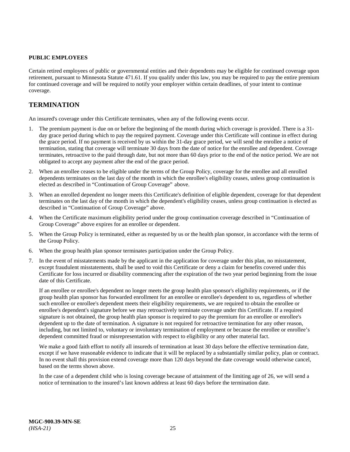# <span id="page-30-0"></span>**PUBLIC EMPLOYEES**

Certain retired employees of public or governmental entities and their dependents may be eligible for continued coverage upon retirement, pursuant to Minnesota Statute 471.61. If you qualify under this law, you may be required to pay the entire premium for continued coverage and will be required to notify your employer within certain deadlines, of your intent to continue coverage.

# <span id="page-30-1"></span>**TERMINATION**

An insured's coverage under this Certificate terminates, when any of the following events occur.

- 1. The premium payment is due on or before the beginning of the month during which coverage is provided. There is a 31 day grace period during which to pay the required payment. Coverage under this Certificate will continue in effect during the grace period. If no payment is received by us within the 31-day grace period, we will send the enrollee a notice of termination, stating that coverage will terminate 30 days from the date of notice for the enrollee and dependent. Coverage terminates, retroactive to the paid through date, but not more than 60 days prior to the end of the notice period. We are not obligated to accept any payment after the end of the grace period.
- 2. When an enrollee ceases to be eligible under the terms of the Group Policy, coverage for the enrollee and all enrolled dependents terminates on the last day of the month in which the enrollee's eligibility ceases, unless group continuation is elected as described in "Continuation of Group Coverage" above.
- 3. When an enrolled dependent no longer meets this Certificate's definition of eligible dependent, coverage for that dependent terminates on the last day of the month in which the dependent's eligibility ceases, unless group continuation is elected as described in "Continuation of Group Coverage" above.
- 4. When the Certificate maximum eligibility period under the group continuation coverage described in "Continuation of Group Coverage" above expires for an enrollee or dependent.
- 5. When the Group Policy is terminated, either as requested by us or the health plan sponsor, in accordance with the terms of the Group Policy.
- 6. When the group health plan sponsor terminates participation under the Group Policy.
- 7. In the event of misstatements made by the applicant in the application for coverage under this plan, no misstatement, except fraudulent misstatements, shall be used to void this Certificate or deny a claim for benefits covered under this Certificate for loss incurred or disability commencing after the expiration of the two year period beginning from the issue date of this Certificate.

If an enrollee or enrollee's dependent no longer meets the group health plan sponsor's eligibility requirements, or if the group health plan sponsor has forwarded enrollment for an enrollee or enrollee's dependent to us, regardless of whether such enrollee or enrollee's dependent meets their eligibility requirements, we are required to obtain the enrollee or enrollee's dependent's signature before we may retroactively terminate coverage under this Certificate. If a required signature is not obtained, the group health plan sponsor is required to pay the premium for an enrollee or enrollee's dependent up to the date of termination. A signature is not required for retroactive termination for any other reason, including, but not limited to, voluntary or involuntary termination of employment or because the enrollee or enrollee's dependent committed fraud or misrepresentation with respect to eligibility or any other material fact.

We make a good faith effort to notify all insureds of termination at least 30 days before the effective termination date, except if we have reasonable evidence to indicate that it will be replaced by a substantially similar policy, plan or contract. In no event shall this provision extend coverage more than 120 days beyond the date coverage would otherwise cancel, based on the terms shown above.

In the case of a dependent child who is losing coverage because of attainment of the limiting age of 26, we will send a notice of termination to the insured's last known address at least 60 days before the termination date.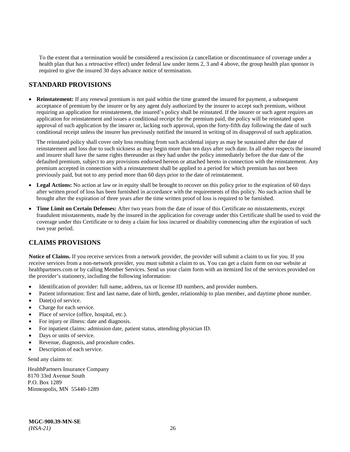To the extent that a termination would be considered a rescission (a cancellation or discontinuance of coverage under a health plan that has a retroactive effect) under federal law under items 2, 3 and 4 above, the group health plan sponsor is required to give the insured 30 days advance notice of termination.

# <span id="page-31-0"></span>**STANDARD PROVISIONS**

• **Reinstatement:** If any renewal premium is not paid within the time granted the insured for payment, a subsequent acceptance of premium by the insurer or by any agent duly authorized by the insurer to accept such premium, without requiring an application for reinstatement, the insured's policy shall be reinstated. If the insurer or such agent requires an application for reinstatement and issues a conditional receipt for the premium paid, the policy will be reinstated upon approval of such application by the insurer or, lacking such approval, upon the forty-fifth day following the date of such conditional receipt unless the insurer has previously notified the insured in writing of its disapproval of such application.

The reinstated policy shall cover only loss resulting from such accidental injury as may be sustained after the date of reinstatement and loss due to such sickness as may begin more than ten days after such date. In all other respects the insured and insurer shall have the same rights thereunder as they had under the policy immediately before the due date of the defaulted premium, subject to any provisions endorsed hereon or attached hereto in connection with the reinstatement. Any premium accepted in connection with a reinstatement shall be applied to a period for which premium has not been previously paid, but not to any period more than 60 days prior to the date of reinstatement.

- Legal Actions: No action at law or in equity shall be brought to recover on this policy prior to the expiration of 60 days after written proof of loss has been furnished in accordance with the requirements of this policy. No such action shall be brought after the expiration of three years after the time written proof of loss is required to be furnished.
- **Time Limit on Certain Defenses:** After two years from the date of issue of this Certificate no misstatements, except fraudulent misstatements, made by the insured in the application for coverage under this Certificate shall be used to void the coverage under this Certificate or to deny a claim for loss incurred or disability commencing after the expiration of such two year period.

# <span id="page-31-1"></span>**CLAIMS PROVISIONS**

**Notice of Claims.** If you receive services from a network provider, the provider will submit a claim to us for you. If you receive services from a non-network provider, you must submit a claim to us. You can get a claim form on our website at [healthpartners.com](https://www.healthpartners.com/hp/index.html) or by calling Member Services. Send us your claim form with an itemized list of the services provided on the provider's stationery, including the following information:

- Identification of provider: full name, address, tax or license ID numbers, and provider numbers.
- Patient information: first and last name, date of birth, gender, relationship to plan member, and daytime phone number.
- $Date(s)$  of service.
- Charge for each service.
- Place of service (office, hospital, etc.).
- For injury or illness: date and diagnosis.
- For inpatient claims: admission date, patient status, attending physician ID.
- Days or units of service.
- Revenue, diagnosis, and procedure codes.
- Description of each service.

Send any claims to:

HealthPartners Insurance Company 8170 33rd Avenue South P.O. Box 1289 Minneapolis, MN 55440-1289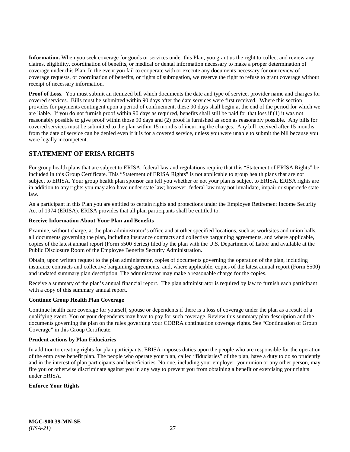**Information.** When you seek coverage for goods or services under this Plan, you grant us the right to collect and review any claims, eligibility, coordination of benefits, or medical or dental information necessary to make a proper determination of coverage under this Plan. In the event you fail to cooperate with or execute any documents necessary for our review of coverage requests, or coordination of benefits, or rights of subrogation, we reserve the right to refuse to grant coverage without receipt of necessary information.

**Proof of Loss.** You must submit an itemized bill which documents the date and type of service, provider name and charges for covered services. Bills must be submitted within 90 days after the date services were first received. Where this section provides for payments contingent upon a period of confinement, these 90 days shall begin at the end of the period for which we are liable. If you do not furnish proof within 90 days as required, benefits shall still be paid for that loss if (1) it was not reasonably possible to give proof within those 90 days and (2) proof is furnished as soon as reasonably possible. Any bills for covered services must be submitted to the plan within 15 months of incurring the charges. Any bill received after 15 months from the date of service can be denied even if it is for a covered service, unless you were unable to submit the bill because you were legally incompetent.

# <span id="page-32-0"></span>**STATEMENT OF ERISA RIGHTS**

For group health plans that are subject to ERISA, federal law and regulations require that this "Statement of ERISA Rights" be included in this Group Certificate. This "Statement of ERISA Rights" is not applicable to group health plans that are not subject to ERISA. Your group health plan sponsor can tell you whether or not your plan is subject to ERISA. ERISA rights are in addition to any rights you may also have under state law; however, federal law may not invalidate, impair or supercede state law.

As a participant in this Plan you are entitled to certain rights and protections under the Employee Retirement Income Security Act of 1974 (ERISA). ERISA provides that all plan participants shall be entitled to:

# **Receive Information About Your Plan and Benefits**

Examine, without charge, at the plan administrator's office and at other specified locations, such as worksites and union halls, all documents governing the plan, including insurance contracts and collective bargaining agreements, and where applicable, copies of the latest annual report (Form 5500 Series) filed by the plan with the U.S. Department of Labor and available at the Public Disclosure Room of the Employee Benefits Security Administration.

Obtain, upon written request to the plan administrator, copies of documents governing the operation of the plan, including insurance contracts and collective bargaining agreements, and, where applicable, copies of the latest annual report (Form 5500) and updated summary plan description. The administrator may make a reasonable charge for the copies.

Receive a summary of the plan's annual financial report. The plan administrator is required by law to furnish each participant with a copy of this summary annual report.

# **Continue Group Health Plan Coverage**

Continue health care coverage for yourself, spouse or dependents if there is a loss of coverage under the plan as a result of a qualifying event. You or your dependents may have to pay for such coverage. Review this summary plan description and the documents governing the plan on the rules governing your COBRA continuation coverage rights. See "Continuation of Group Coverage" in this Group Certificate.

# **Prudent actions by Plan Fiduciaries**

In addition to creating rights for plan participants, ERISA imposes duties upon the people who are responsible for the operation of the employee benefit plan. The people who operate your plan, called "fiduciaries" of the plan, have a duty to do so prudently and in the interest of plan participants and beneficiaries. No one, including your employer, your union or any other person, may fire you or otherwise discriminate against you in any way to prevent you from obtaining a benefit or exercising your rights under ERISA.

# **Enforce Your Rights**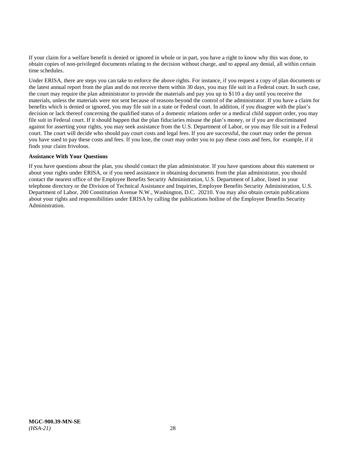If your claim for a welfare benefit is denied or ignored in whole or in part, you have a right to know why this was done, to obtain copies of non-privileged documents relating to the decision without charge, and to appeal any denial, all within certain time schedules.

Under ERISA, there are steps you can take to enforce the above rights. For instance, if you request a copy of plan documents or the latest annual report from the plan and do not receive them within 30 days, you may file suit in a Federal court. In such case, the court may require the plan administrator to provide the materials and pay you up to \$110 a day until you receive the materials, unless the materials were not sent because of reasons beyond the control of the administrator. If you have a claim for benefits which is denied or ignored, you may file suit in a state or Federal court. In addition, if you disagree with the plan's decision or lack thereof concerning the qualified status of a domestic relations order or a medical child support order, you may file suit in Federal court. If it should happen that the plan fiduciaries misuse the plan's money, or if you are discriminated against for asserting your rights, you may seek assistance from the U.S. Department of Labor, or you may file suit in a Federal court. The court will decide who should pay court costs and legal fees. If you are successful, the court may order the person you have sued to pay these costs and fees. If you lose, the court may order you to pay these costs and fees, for example, if it finds your claim frivolous.

# **Assistance With Your Questions**

<span id="page-33-0"></span>If you have questions about the plan, you should contact the plan administrator. If you have questions about this statement or about your rights under ERISA, or if you need assistance in obtaining documents from the plan administrator, you should contact the nearest office of the Employee Benefits Security Administration, U.S. Department of Labor, listed in your telephone directory or the Division of Technical Assistance and Inquiries, Employee Benefits Security Administration, U.S. Department of Labor, 200 Constitution Avenue N.W., Washington, D.C. 20210. You may also obtain certain publications about your rights and responsibilities under ERISA by calling the publications hotline of the Employee Benefits Security Administration.